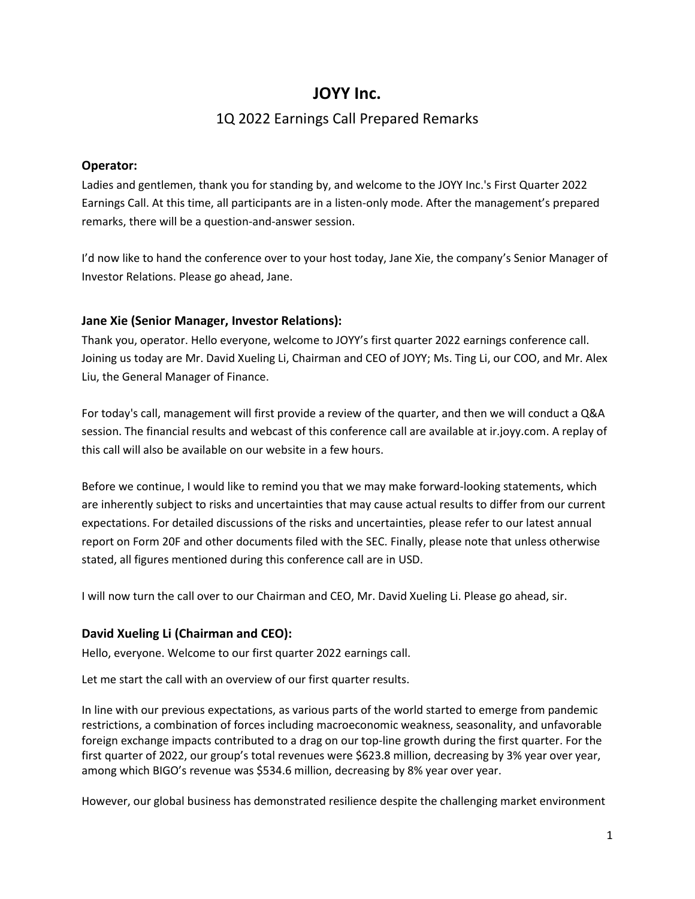# **JOYY Inc.**

# 1Q 2022 Earnings Call Prepared Remarks

### **Operator:**

Ladies and gentlemen, thank you for standing by, and welcome to the JOYY Inc.'s First Quarter 2022 Earnings Call. At this time, all participants are in a listen-only mode. After the management's prepared remarks, there will be a question-and-answer session.

I'd now like to hand the conference over to your host today, Jane Xie, the company's Senior Manager of Investor Relations. Please go ahead, Jane.

### **Jane Xie (Senior Manager, Investor Relations):**

Thank you, operator. Hello everyone, welcome to JOYY's first quarter 2022 earnings conference call. Joining us today are Mr. David Xueling Li, Chairman and CEO of JOYY; Ms. Ting Li, our COO, and Mr. Alex Liu, the General Manager of Finance.

For today's call, management will first provide a review of the quarter, and then we will conduct a Q&A session. The financial results and webcast of this conference call are available at ir.joyy.com. A replay of this call will also be available on our website in a few hours.

Before we continue, I would like to remind you that we may make forward-looking statements, which are inherently subject to risks and uncertainties that may cause actual results to differ from our current expectations. For detailed discussions of the risks and uncertainties, please refer to our latest annual report on Form 20F and other documents filed with the SEC. Finally, please note that unless otherwise stated, all figures mentioned during this conference call are in USD.

I will now turn the call over to our Chairman and CEO, Mr. David Xueling Li. Please go ahead, sir.

## **David Xueling Li (Chairman and CEO):**

Hello, everyone. Welcome to our first quarter 2022 earnings call.

Let me start the call with an overview of our first quarter results.

In line with our previous expectations, as various parts of the world started to emerge from pandemic restrictions, a combination of forces including macroeconomic weakness, seasonality, and unfavorable foreign exchange impacts contributed to a drag on our top-line growth during the first quarter. For the first quarter of 2022, our group's total revenues were \$623.8 million, decreasing by 3% year over year, among which BIGO's revenue was \$534.6 million, decreasing by 8% year over year.

However, our global business has demonstrated resilience despite the challenging market environment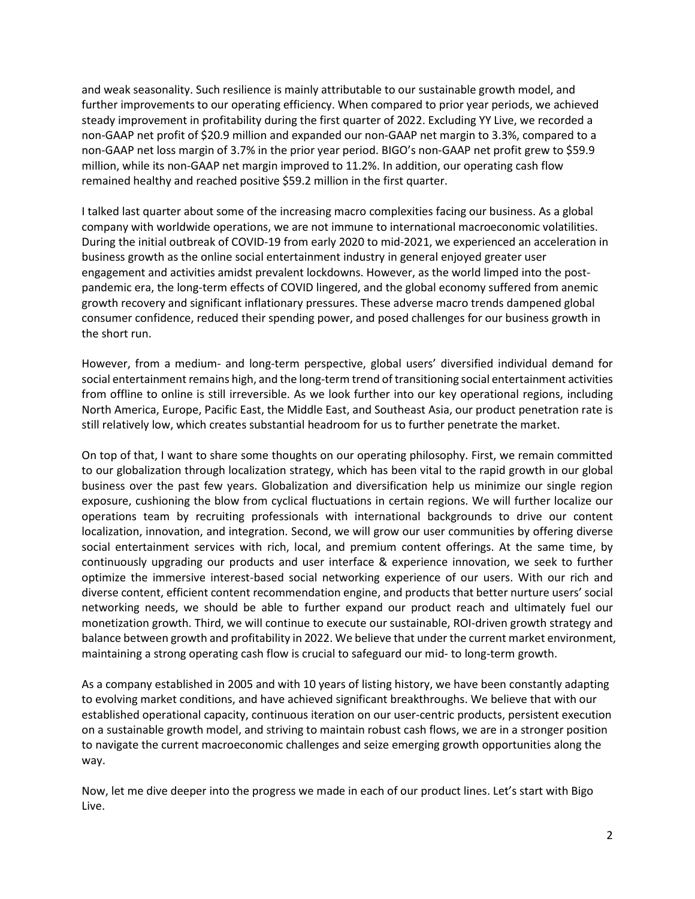and weak seasonality. Such resilience is mainly attributable to our sustainable growth model, and further improvements to our operating efficiency. When compared to prior year periods, we achieved steady improvement in profitability during the first quarter of 2022. Excluding YY Live, we recorded a non-GAAP net profit of \$20.9 million and expanded our non-GAAP net margin to 3.3%, compared to a non-GAAP net loss margin of 3.7% in the prior year period. BIGO's non-GAAP net profit grew to \$59.9 million, while its non-GAAP net margin improved to 11.2%. In addition, our operating cash flow remained healthy and reached positive \$59.2 million in the first quarter.

I talked last quarter about some of the increasing macro complexities facing our business. As a global company with worldwide operations, we are not immune to international macroeconomic volatilities. During the initial outbreak of COVID-19 from early 2020 to mid-2021, we experienced an acceleration in business growth as the online social entertainment industry in general enjoyed greater user engagement and activities amidst prevalent lockdowns. However, as the world limped into the postpandemic era, the long-term effects of COVID lingered, and the global economy suffered from anemic growth recovery and significant inflationary pressures. These adverse macro trends dampened global consumer confidence, reduced their spending power, and posed challenges for our business growth in the short run.

However, from a medium- and long-term perspective, global users' diversified individual demand for social entertainment remains high, and the long-term trend of transitioning social entertainment activities from offline to online is still irreversible. As we look further into our key operational regions, including North America, Europe, Pacific East, the Middle East, and Southeast Asia, our product penetration rate is still relatively low, which creates substantial headroom for us to further penetrate the market.

On top of that, I want to share some thoughts on our operating philosophy. First, we remain committed to our globalization through localization strategy, which has been vital to the rapid growth in our global business over the past few years. Globalization and diversification help us minimize our single region exposure, cushioning the blow from cyclical fluctuations in certain regions. We will further localize our operations team by recruiting professionals with international backgrounds to drive our content localization, innovation, and integration. Second, we will grow our user communities by offering diverse social entertainment services with rich, local, and premium content offerings. At the same time, by continuously upgrading our products and user interface & experience innovation, we seek to further optimize the immersive interest-based social networking experience of our users. With our rich and diverse content, efficient content recommendation engine, and products that better nurture users' social networking needs, we should be able to further expand our product reach and ultimately fuel our monetization growth. Third, we will continue to execute our sustainable, ROI-driven growth strategy and balance between growth and profitability in 2022. We believe that under the current market environment, maintaining a strong operating cash flow is crucial to safeguard our mid- to long-term growth.

As a company established in 2005 and with 10 years of listing history, we have been constantly adapting to evolving market conditions, and have achieved significant breakthroughs. We believe that with our established operational capacity, continuous iteration on our user-centric products, persistent execution on a sustainable growth model, and striving to maintain robust cash flows, we are in a stronger position to navigate the current macroeconomic challenges and seize emerging growth opportunities along the way.

Now, let me dive deeper into the progress we made in each of our product lines. Let's start with Bigo Live.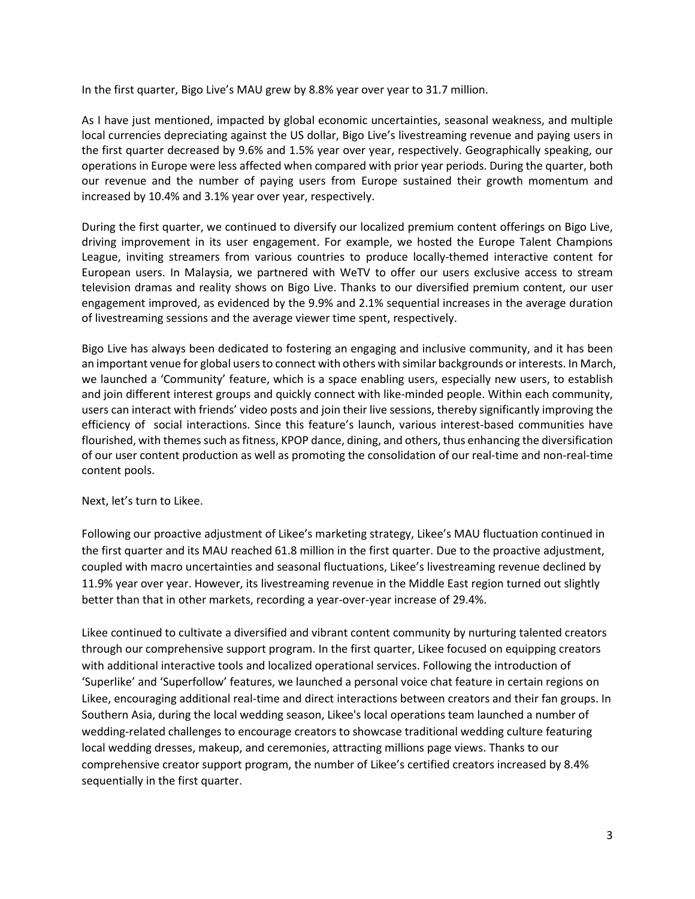In the first quarter, Bigo Live's MAU grew by 8.8% year over year to 31.7 million.

As I have just mentioned, impacted by global economic uncertainties, seasonal weakness, and multiple local currencies depreciating against the US dollar, Bigo Live's livestreaming revenue and paying users in the first quarter decreased by 9.6% and 1.5% year over year, respectively. Geographically speaking, our operations in Europe were less affected when compared with prior year periods. During the quarter, both our revenue and the number of paying users from Europe sustained their growth momentum and increased by 10.4% and 3.1% year over year, respectively.

During the first quarter, we continued to diversify our localized premium content offerings on Bigo Live, driving improvement in its user engagement. For example, we hosted the Europe Talent Champions League, inviting streamers from various countries to produce locally-themed interactive content for European users. In Malaysia, we partnered with WeTV to offer our users exclusive access to stream television dramas and reality shows on Bigo Live. Thanks to our diversified premium content, our user engagement improved, as evidenced by the 9.9% and 2.1% sequential increases in the average duration of livestreaming sessions and the average viewer time spent, respectively.

Bigo Live has always been dedicated to fostering an engaging and inclusive community, and it has been an important venue for global users to connect with others with similar backgrounds or interests. In March, we launched a 'Community' feature, which is a space enabling users, especially new users, to establish and join different interest groups and quickly connect with like-minded people. Within each community, users can interact with friends' video posts and join their live sessions, thereby significantly improving the efficiency of social interactions. Since this feature's launch, various interest-based communities have flourished, with themes such as fitness, KPOP dance, dining, and others, thus enhancing the diversification of our user content production as well as promoting the consolidation of our real-time and non-real-time content pools.

Next, let's turn to Likee.

Following our proactive adjustment of Likee's marketing strategy, Likee's MAU fluctuation continued in the first quarter and its MAU reached 61.8 million in the first quarter. Due to the proactive adjustment, coupled with macro uncertainties and seasonal fluctuations, Likee's livestreaming revenue declined by 11.9% year over year. However, its livestreaming revenue in the Middle East region turned out slightly better than that in other markets, recording a year-over-year increase of 29.4%.

Likee continued to cultivate a diversified and vibrant content community by nurturing talented creators through our comprehensive support program. In the first quarter, Likee focused on equipping creators with additional interactive tools and localized operational services. Following the introduction of 'Superlike' and 'Superfollow' features, we launched a personal voice chat feature in certain regions on Likee, encouraging additional real-time and direct interactions between creators and their fan groups. In Southern Asia, during the local wedding season, Likee's local operations team launched a number of wedding-related challenges to encourage creators to showcase traditional wedding culture featuring local wedding dresses, makeup, and ceremonies, attracting millions page views. Thanks to our comprehensive creator support program, the number of Likee's certified creators increased by 8.4% sequentially in the first quarter.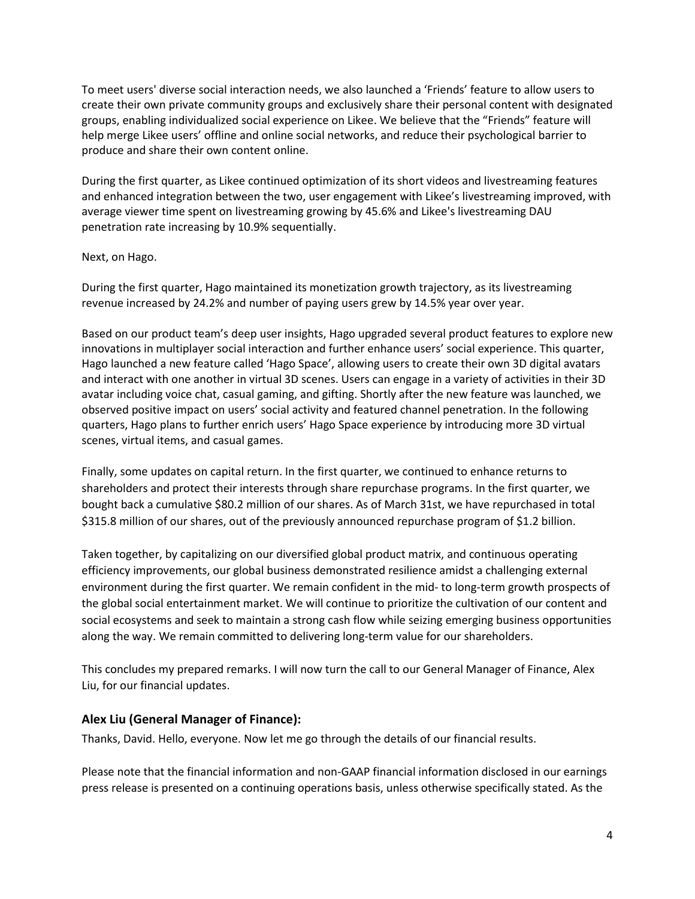To meet users' diverse social interaction needs, we also launched a 'Friends' feature to allow users to create their own private community groups and exclusively share their personal content with designated groups, enabling individualized social experience on Likee. We believe that the "Friends" feature will help merge Likee users' offline and online social networks, and reduce their psychological barrier to produce and share their own content online.

During the first quarter, as Likee continued optimization of its short videos and livestreaming features and enhanced integration between the two, user engagement with Likee's livestreaming improved, with average viewer time spent on livestreaming growing by 45.6% and Likee's livestreaming DAU penetration rate increasing by 10.9% sequentially.

#### Next, on Hago.

During the first quarter, Hago maintained its monetization growth trajectory, as its livestreaming revenue increased by 24.2% and number of paying users grew by 14.5% year over year.

Based on our product team's deep user insights, Hago upgraded several product features to explore new innovations in multiplayer social interaction and further enhance users' social experience. This quarter, Hago launched a new feature called 'Hago Space', allowing users to create their own 3D digital avatars and interact with one another in virtual 3D scenes. Users can engage in a variety of activities in their 3D avatar including voice chat, casual gaming, and gifting. Shortly after the new feature was launched, we observed positive impact on users' social activity and featured channel penetration. In the following quarters, Hago plans to further enrich users' Hago Space experience by introducing more 3D virtual scenes, virtual items, and casual games.

Finally, some updates on capital return. In the first quarter, we continued to enhance returns to shareholders and protect their interests through share repurchase programs. In the first quarter, we bought back a cumulative \$80.2 million of our shares. As of March 31st, we have repurchased in total \$315.8 million of our shares, out of the previously announced repurchase program of \$1.2 billion.

Taken together, by capitalizing on our diversified global product matrix, and continuous operating efficiency improvements, our global business demonstrated resilience amidst a challenging external environment during the first quarter. We remain confident in the mid- to long-term growth prospects of the global social entertainment market. We will continue to prioritize the cultivation of our content and social ecosystems and seek to maintain a strong cash flow while seizing emerging business opportunities along the way. We remain committed to delivering long-term value for our shareholders.

This concludes my prepared remarks. I will now turn the call to our General Manager of Finance, Alex Liu, for our financial updates.

#### **Alex Liu (General Manager of Finance):**

Thanks, David. Hello, everyone. Now let me go through the details of our financial results.

Please note that the financial information and non-GAAP financial information disclosed in our earnings press release is presented on a continuing operations basis, unless otherwise specifically stated. As the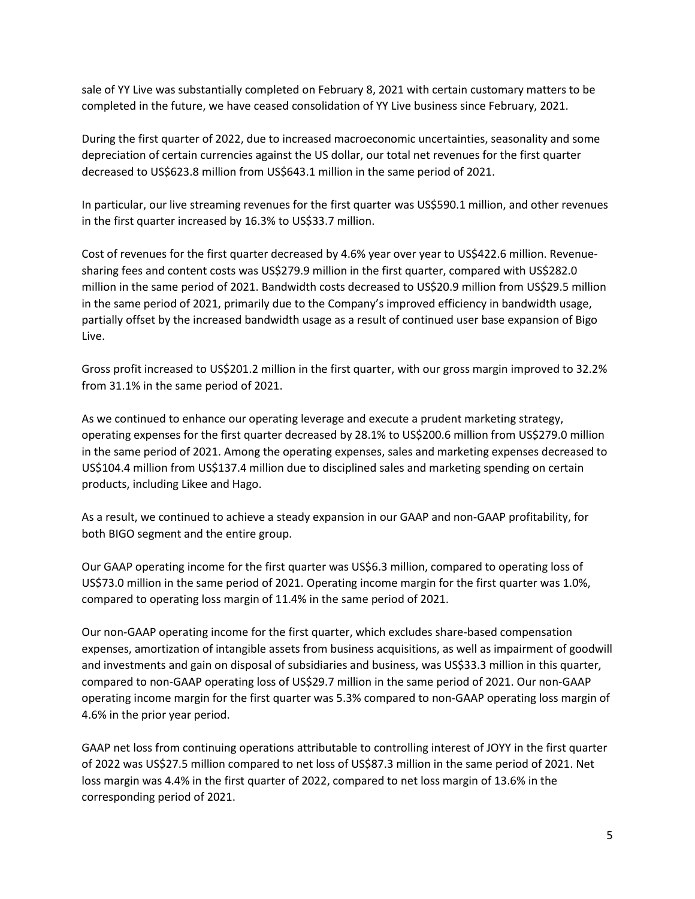sale of YY Live was substantially completed on February 8, 2021 with certain customary matters to be completed in the future, we have ceased consolidation of YY Live business since February, 2021.

During the first quarter of 2022, due to increased macroeconomic uncertainties, seasonality and some depreciation of certain currencies against the US dollar, our total net revenues for the first quarter decreased to US\$623.8 million from US\$643.1 million in the same period of 2021.

In particular, our live streaming revenues for the first quarter was US\$590.1 million, and other revenues in the first quarter increased by 16.3% to US\$33.7 million.

Cost of revenues for the first quarter decreased by 4.6% year over year to US\$422.6 million. Revenuesharing fees and content costs was US\$279.9 million in the first quarter, compared with US\$282.0 million in the same period of 2021. Bandwidth costs decreased to US\$20.9 million from US\$29.5 million in the same period of 2021, primarily due to the Company's improved efficiency in bandwidth usage, partially offset by the increased bandwidth usage as a result of continued user base expansion of Bigo Live.

Gross profit increased to US\$201.2 million in the first quarter, with our gross margin improved to 32.2% from 31.1% in the same period of 2021.

As we continued to enhance our operating leverage and execute a prudent marketing strategy, operating expenses for the first quarter decreased by 28.1% to US\$200.6 million from US\$279.0 million in the same period of 2021. Among the operating expenses, sales and marketing expenses decreased to US\$104.4 million from US\$137.4 million due to disciplined sales and marketing spending on certain products, including Likee and Hago.

As a result, we continued to achieve a steady expansion in our GAAP and non-GAAP profitability, for both BIGO segment and the entire group.

Our GAAP operating income for the first quarter was US\$6.3 million, compared to operating loss of US\$73.0 million in the same period of 2021. Operating income margin for the first quarter was 1.0%, compared to operating loss margin of 11.4% in the same period of 2021.

Our non-GAAP operating income for the first quarter, which excludes share-based compensation expenses, amortization of intangible assets from business acquisitions, as well as impairment of goodwill and investments and gain on disposal of subsidiaries and business, was US\$33.3 million in this quarter, compared to non-GAAP operating loss of US\$29.7 million in the same period of 2021. Our non-GAAP operating income margin for the first quarter was 5.3% compared to non-GAAP operating loss margin of 4.6% in the prior year period.

GAAP net loss from continuing operations attributable to controlling interest of JOYY in the first quarter of 2022 was US\$27.5 million compared to net loss of US\$87.3 million in the same period of 2021. Net loss margin was 4.4% in the first quarter of 2022, compared to net loss margin of 13.6% in the corresponding period of 2021.